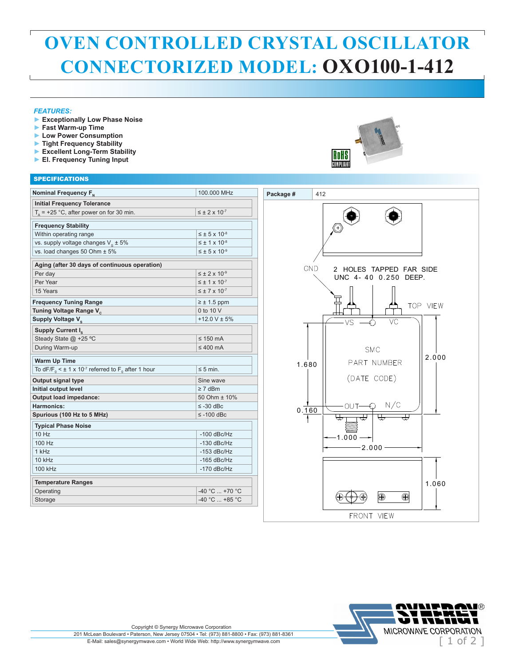## **OVEN CONTROLLED CRYSTAL OSCILLATOR CONNECTORIZED MODEL: OXO100-1-412**

#### *FEATURES:*

 $\overline{1}$ 

- **► Exceptionally Low Phase Noise**
- **► Fast Warm-up Time**
- **► Low Power Consumption**
- **► Tight Frequency Stability**
- **► Excellent Long-Term Stability**
- **► El. Frequency Tuning Input**

# **RoHS**<br>WWW.WW

### SPECIFICATIONS

| <b>Initial Frequency Tolerance</b><br>$T_a$ = +25 °C, after power on for 30 min.<br>$\leq \pm 2 \times 10^{-7}$<br><b>Frequency Stability</b><br>Within operating range<br>$\leq \pm 5 \times 10^{-8}$<br>$\leq \pm 1 \times 10^{-8}$<br>vs. supply voltage changes $V_s \pm 5\%$<br>vs. load changes 50 Ohm ± 5%<br>$\leq \pm 5 \times 10^{-9}$<br>Aging (after 30 days of continuous operation)<br>GND<br>2 HOLES TAPPED FAR SIDE<br>$\leq \pm 2 \times 10^{-9}$<br>Per day<br>UNC 4-40 0.250 DEEP.<br>Per Year<br>$\leq \pm 1 \times 10^{-7}$<br>15 Years<br>$\leq \pm 7 \times 10^{-7}$<br><b>Frequency Tuning Range</b><br>$\geq \pm 1.5$ ppm<br>TOP VIEW<br>0 to 10 V<br>Tuning Voltage Range V <sub>c</sub><br>$+12.0$ V $\pm$ 5%<br>Supply Voltage V <sub>s</sub><br>VC<br>VS<br>Supply Current I <sub>c</sub><br>Steady State @ +25 °C<br>$\leq$ 150 mA<br>During Warm-up<br>$\leq 400$ mA<br><b>SMC</b><br>2.000<br><b>Warm Up Time</b><br>PART NUMBER<br>1.680<br>To dF/F <sub>0</sub> < $\pm$ 1 x 10 <sup>-7</sup> referred to F <sub>0</sub> after 1 hour<br>$\leq$ 5 min.<br>(DATE CODE)<br>Output signal type<br>Sine wave<br>Initial output level<br>$\geq 7$ dBm<br>Output load impedance:<br>50 Ohm ± 10%<br>N/C<br>OUT<br>Harmonics:<br>$\leq$ -30 dBc<br>0.160<br>Spurious (100 Hz to 5 MHz)<br>$\leq$ -100 dBc<br><b>Typical Phase Noise</b><br>10 Hz<br>$-100$ dBc/Hz<br>$-1.000$<br>100 Hz<br>$-130$ dBc/Hz<br>$-2.000 -$<br>1 kHz<br>$-153$ dBc/Hz<br>10 kHz<br>$-165$ dBc/Hz<br>100 kHz<br>$-170$ dBc/Hz<br><b>Temperature Ranges</b><br>1.060<br>$-40 °C  +70 °C$<br>Operating<br>⊕<br>$\bigcirc$<br>-40 °C  +85 °C<br>Storage | Nominal Frequency F <sub>N</sub> | 100.000 MHz | Package #<br>412 |
|----------------------------------------------------------------------------------------------------------------------------------------------------------------------------------------------------------------------------------------------------------------------------------------------------------------------------------------------------------------------------------------------------------------------------------------------------------------------------------------------------------------------------------------------------------------------------------------------------------------------------------------------------------------------------------------------------------------------------------------------------------------------------------------------------------------------------------------------------------------------------------------------------------------------------------------------------------------------------------------------------------------------------------------------------------------------------------------------------------------------------------------------------------------------------------------------------------------------------------------------------------------------------------------------------------------------------------------------------------------------------------------------------------------------------------------------------------------------------------------------------------------------------------------------------------------------------------------------------------------------------------------------------------|----------------------------------|-------------|------------------|
|                                                                                                                                                                                                                                                                                                                                                                                                                                                                                                                                                                                                                                                                                                                                                                                                                                                                                                                                                                                                                                                                                                                                                                                                                                                                                                                                                                                                                                                                                                                                                                                                                                                          |                                  |             |                  |
|                                                                                                                                                                                                                                                                                                                                                                                                                                                                                                                                                                                                                                                                                                                                                                                                                                                                                                                                                                                                                                                                                                                                                                                                                                                                                                                                                                                                                                                                                                                                                                                                                                                          |                                  |             |                  |
|                                                                                                                                                                                                                                                                                                                                                                                                                                                                                                                                                                                                                                                                                                                                                                                                                                                                                                                                                                                                                                                                                                                                                                                                                                                                                                                                                                                                                                                                                                                                                                                                                                                          |                                  |             |                  |
|                                                                                                                                                                                                                                                                                                                                                                                                                                                                                                                                                                                                                                                                                                                                                                                                                                                                                                                                                                                                                                                                                                                                                                                                                                                                                                                                                                                                                                                                                                                                                                                                                                                          |                                  |             |                  |
|                                                                                                                                                                                                                                                                                                                                                                                                                                                                                                                                                                                                                                                                                                                                                                                                                                                                                                                                                                                                                                                                                                                                                                                                                                                                                                                                                                                                                                                                                                                                                                                                                                                          |                                  |             |                  |
|                                                                                                                                                                                                                                                                                                                                                                                                                                                                                                                                                                                                                                                                                                                                                                                                                                                                                                                                                                                                                                                                                                                                                                                                                                                                                                                                                                                                                                                                                                                                                                                                                                                          |                                  |             |                  |
|                                                                                                                                                                                                                                                                                                                                                                                                                                                                                                                                                                                                                                                                                                                                                                                                                                                                                                                                                                                                                                                                                                                                                                                                                                                                                                                                                                                                                                                                                                                                                                                                                                                          |                                  |             |                  |
|                                                                                                                                                                                                                                                                                                                                                                                                                                                                                                                                                                                                                                                                                                                                                                                                                                                                                                                                                                                                                                                                                                                                                                                                                                                                                                                                                                                                                                                                                                                                                                                                                                                          |                                  |             |                  |
|                                                                                                                                                                                                                                                                                                                                                                                                                                                                                                                                                                                                                                                                                                                                                                                                                                                                                                                                                                                                                                                                                                                                                                                                                                                                                                                                                                                                                                                                                                                                                                                                                                                          |                                  |             |                  |
|                                                                                                                                                                                                                                                                                                                                                                                                                                                                                                                                                                                                                                                                                                                                                                                                                                                                                                                                                                                                                                                                                                                                                                                                                                                                                                                                                                                                                                                                                                                                                                                                                                                          |                                  |             |                  |
|                                                                                                                                                                                                                                                                                                                                                                                                                                                                                                                                                                                                                                                                                                                                                                                                                                                                                                                                                                                                                                                                                                                                                                                                                                                                                                                                                                                                                                                                                                                                                                                                                                                          |                                  |             |                  |
|                                                                                                                                                                                                                                                                                                                                                                                                                                                                                                                                                                                                                                                                                                                                                                                                                                                                                                                                                                                                                                                                                                                                                                                                                                                                                                                                                                                                                                                                                                                                                                                                                                                          |                                  |             |                  |
|                                                                                                                                                                                                                                                                                                                                                                                                                                                                                                                                                                                                                                                                                                                                                                                                                                                                                                                                                                                                                                                                                                                                                                                                                                                                                                                                                                                                                                                                                                                                                                                                                                                          |                                  |             |                  |
|                                                                                                                                                                                                                                                                                                                                                                                                                                                                                                                                                                                                                                                                                                                                                                                                                                                                                                                                                                                                                                                                                                                                                                                                                                                                                                                                                                                                                                                                                                                                                                                                                                                          |                                  |             |                  |
|                                                                                                                                                                                                                                                                                                                                                                                                                                                                                                                                                                                                                                                                                                                                                                                                                                                                                                                                                                                                                                                                                                                                                                                                                                                                                                                                                                                                                                                                                                                                                                                                                                                          |                                  |             |                  |
|                                                                                                                                                                                                                                                                                                                                                                                                                                                                                                                                                                                                                                                                                                                                                                                                                                                                                                                                                                                                                                                                                                                                                                                                                                                                                                                                                                                                                                                                                                                                                                                                                                                          |                                  |             |                  |
|                                                                                                                                                                                                                                                                                                                                                                                                                                                                                                                                                                                                                                                                                                                                                                                                                                                                                                                                                                                                                                                                                                                                                                                                                                                                                                                                                                                                                                                                                                                                                                                                                                                          |                                  |             |                  |
|                                                                                                                                                                                                                                                                                                                                                                                                                                                                                                                                                                                                                                                                                                                                                                                                                                                                                                                                                                                                                                                                                                                                                                                                                                                                                                                                                                                                                                                                                                                                                                                                                                                          |                                  |             |                  |
|                                                                                                                                                                                                                                                                                                                                                                                                                                                                                                                                                                                                                                                                                                                                                                                                                                                                                                                                                                                                                                                                                                                                                                                                                                                                                                                                                                                                                                                                                                                                                                                                                                                          |                                  |             |                  |
|                                                                                                                                                                                                                                                                                                                                                                                                                                                                                                                                                                                                                                                                                                                                                                                                                                                                                                                                                                                                                                                                                                                                                                                                                                                                                                                                                                                                                                                                                                                                                                                                                                                          |                                  |             |                  |
|                                                                                                                                                                                                                                                                                                                                                                                                                                                                                                                                                                                                                                                                                                                                                                                                                                                                                                                                                                                                                                                                                                                                                                                                                                                                                                                                                                                                                                                                                                                                                                                                                                                          |                                  |             |                  |
|                                                                                                                                                                                                                                                                                                                                                                                                                                                                                                                                                                                                                                                                                                                                                                                                                                                                                                                                                                                                                                                                                                                                                                                                                                                                                                                                                                                                                                                                                                                                                                                                                                                          |                                  |             |                  |
|                                                                                                                                                                                                                                                                                                                                                                                                                                                                                                                                                                                                                                                                                                                                                                                                                                                                                                                                                                                                                                                                                                                                                                                                                                                                                                                                                                                                                                                                                                                                                                                                                                                          |                                  |             |                  |
|                                                                                                                                                                                                                                                                                                                                                                                                                                                                                                                                                                                                                                                                                                                                                                                                                                                                                                                                                                                                                                                                                                                                                                                                                                                                                                                                                                                                                                                                                                                                                                                                                                                          |                                  |             |                  |
|                                                                                                                                                                                                                                                                                                                                                                                                                                                                                                                                                                                                                                                                                                                                                                                                                                                                                                                                                                                                                                                                                                                                                                                                                                                                                                                                                                                                                                                                                                                                                                                                                                                          |                                  |             |                  |
|                                                                                                                                                                                                                                                                                                                                                                                                                                                                                                                                                                                                                                                                                                                                                                                                                                                                                                                                                                                                                                                                                                                                                                                                                                                                                                                                                                                                                                                                                                                                                                                                                                                          |                                  |             |                  |
|                                                                                                                                                                                                                                                                                                                                                                                                                                                                                                                                                                                                                                                                                                                                                                                                                                                                                                                                                                                                                                                                                                                                                                                                                                                                                                                                                                                                                                                                                                                                                                                                                                                          |                                  |             |                  |
|                                                                                                                                                                                                                                                                                                                                                                                                                                                                                                                                                                                                                                                                                                                                                                                                                                                                                                                                                                                                                                                                                                                                                                                                                                                                                                                                                                                                                                                                                                                                                                                                                                                          |                                  |             |                  |
|                                                                                                                                                                                                                                                                                                                                                                                                                                                                                                                                                                                                                                                                                                                                                                                                                                                                                                                                                                                                                                                                                                                                                                                                                                                                                                                                                                                                                                                                                                                                                                                                                                                          |                                  |             |                  |
|                                                                                                                                                                                                                                                                                                                                                                                                                                                                                                                                                                                                                                                                                                                                                                                                                                                                                                                                                                                                                                                                                                                                                                                                                                                                                                                                                                                                                                                                                                                                                                                                                                                          |                                  |             |                  |
|                                                                                                                                                                                                                                                                                                                                                                                                                                                                                                                                                                                                                                                                                                                                                                                                                                                                                                                                                                                                                                                                                                                                                                                                                                                                                                                                                                                                                                                                                                                                                                                                                                                          |                                  |             |                  |
|                                                                                                                                                                                                                                                                                                                                                                                                                                                                                                                                                                                                                                                                                                                                                                                                                                                                                                                                                                                                                                                                                                                                                                                                                                                                                                                                                                                                                                                                                                                                                                                                                                                          |                                  |             |                  |
|                                                                                                                                                                                                                                                                                                                                                                                                                                                                                                                                                                                                                                                                                                                                                                                                                                                                                                                                                                                                                                                                                                                                                                                                                                                                                                                                                                                                                                                                                                                                                                                                                                                          |                                  |             | FRONT VIEW       |